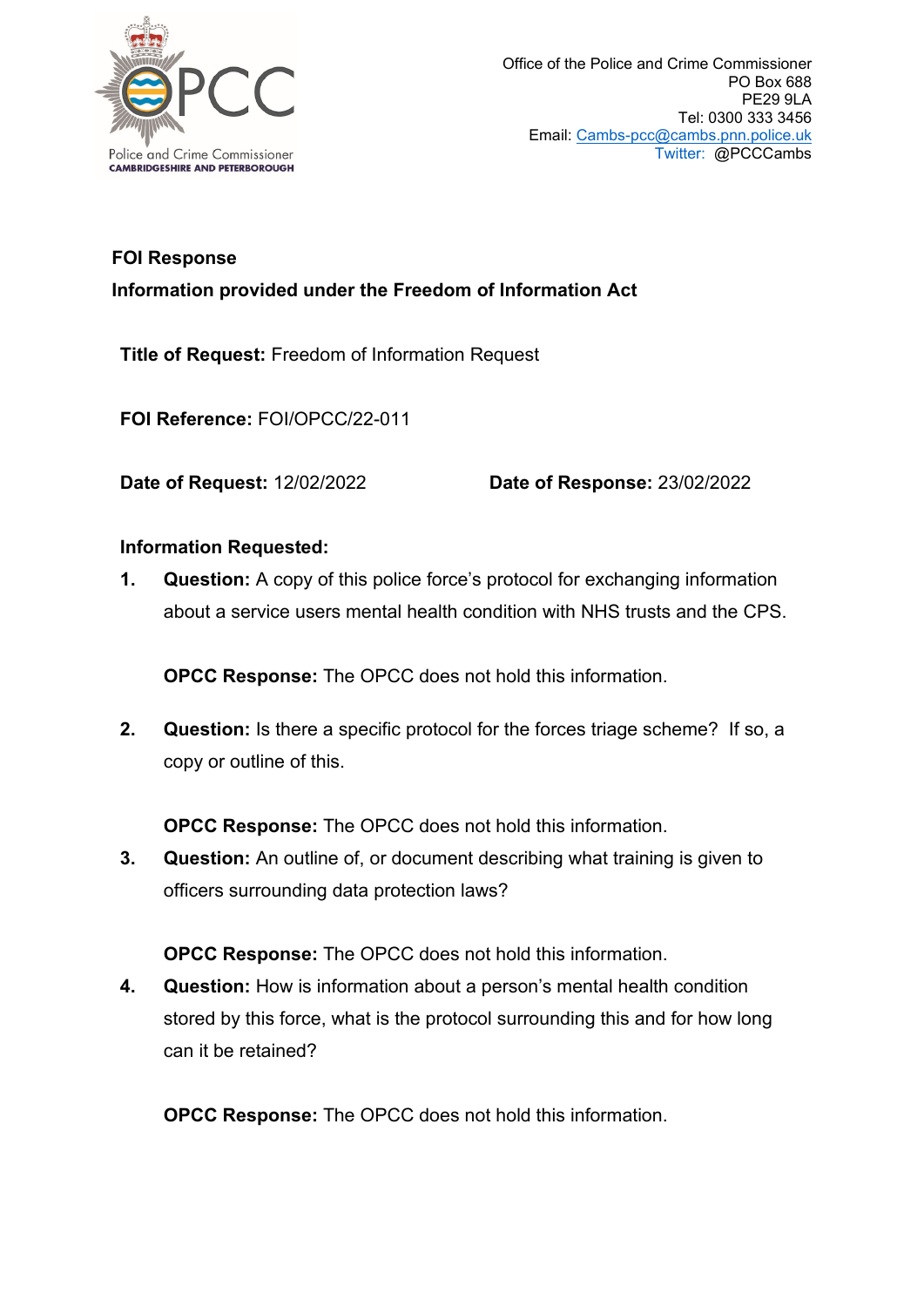

## **FOI Response**

**Information provided under the Freedom of Information Act**

**Title of Request:** Freedom of Information Request

**FOI Reference:** FOI/OPCC/22-011

**Date of Request:** 12/02/2022 **Date of Response:** 23/02/2022

## **Information Requested:**

**1. Question:** A copy of this police force's protocol for exchanging information about a service users mental health condition with NHS trusts and the CPS.

**OPCC Response:** The OPCC does not hold this information.

**2. Question:** Is there a specific protocol for the forces triage scheme? If so, a copy or outline of this.

**OPCC Response:** The OPCC does not hold this information.

**3. Question:** An outline of, or document describing what training is given to officers surrounding data protection laws?

**OPCC Response:** The OPCC does not hold this information.

**4. Question:** How is information about a person's mental health condition stored by this force, what is the protocol surrounding this and for how long can it be retained?

**OPCC Response:** The OPCC does not hold this information.